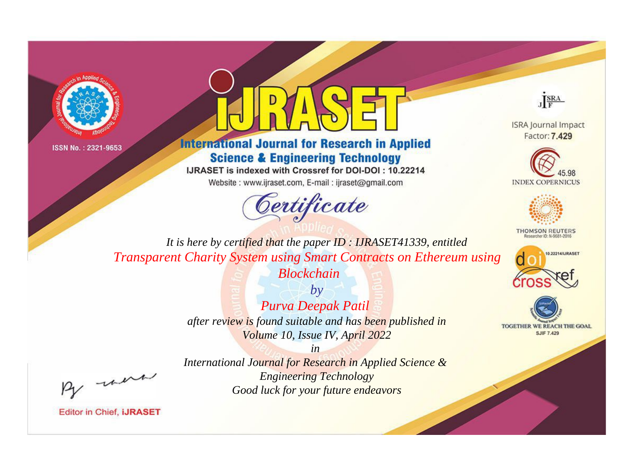



## **International Journal for Research in Applied Science & Engineering Technology**

IJRASET is indexed with Crossref for DOI-DOI: 10.22214

Website: www.ijraset.com, E-mail: ijraset@gmail.com





**ISRA Journal Impact** Factor: 7.429





**THOMSON REUTERS** 



TOGETHER WE REACH THE GOAL **SJIF 7.429** 

*It is here by certified that the paper ID : IJRASET41339, entitled Transparent Charity System using Smart Contracts on Ethereum using Blockchain*

> *by Purva Deepak Patil after review is found suitable and has been published in Volume 10, Issue IV, April 2022*

, un

*International Journal for Research in Applied Science & Engineering Technology Good luck for your future endeavors*

*in*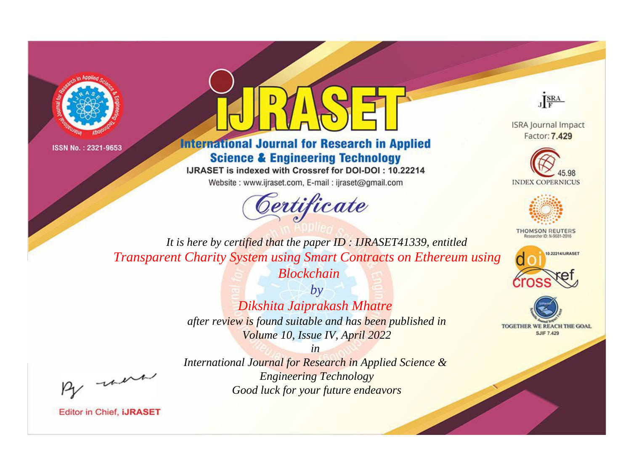



## **International Journal for Research in Applied Science & Engineering Technology**

IJRASET is indexed with Crossref for DOI-DOI: 10.22214

Website: www.ijraset.com, E-mail: ijraset@gmail.com





**ISRA Journal Impact** Factor: 7.429





**THOMSON REUTERS** 



TOGETHER WE REACH THE GOAL **SJIF 7.429** 

*It is here by certified that the paper ID : IJRASET41339, entitled Transparent Charity System using Smart Contracts on Ethereum using Blockchain*

> *by Dikshita Jaiprakash Mhatre after review is found suitable and has been published in Volume 10, Issue IV, April 2022*

, un

*International Journal for Research in Applied Science & Engineering Technology Good luck for your future endeavors*

*in*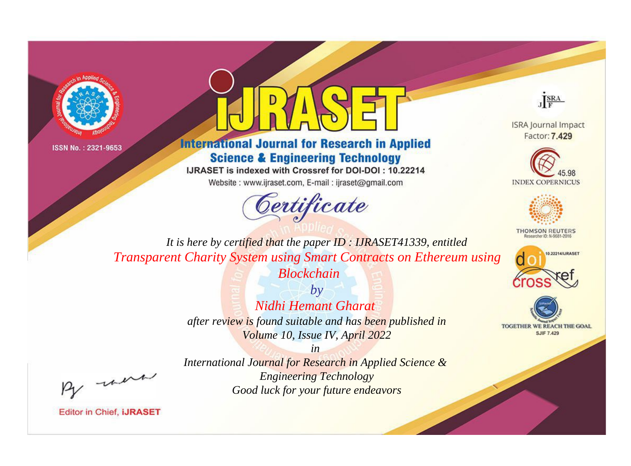



## **International Journal for Research in Applied Science & Engineering Technology**

IJRASET is indexed with Crossref for DOI-DOI: 10.22214

Website: www.ijraset.com, E-mail: ijraset@gmail.com





**ISRA Journal Impact** Factor: 7.429





**THOMSON REUTERS** 



TOGETHER WE REACH THE GOAL **SJIF 7.429** 

*It is here by certified that the paper ID : IJRASET41339, entitled Transparent Charity System using Smart Contracts on Ethereum using Blockchain*

> *by Nidhi Hemant Gharat after review is found suitable and has been published in Volume 10, Issue IV, April 2022*

, un

*International Journal for Research in Applied Science & Engineering Technology Good luck for your future endeavors*

*in*